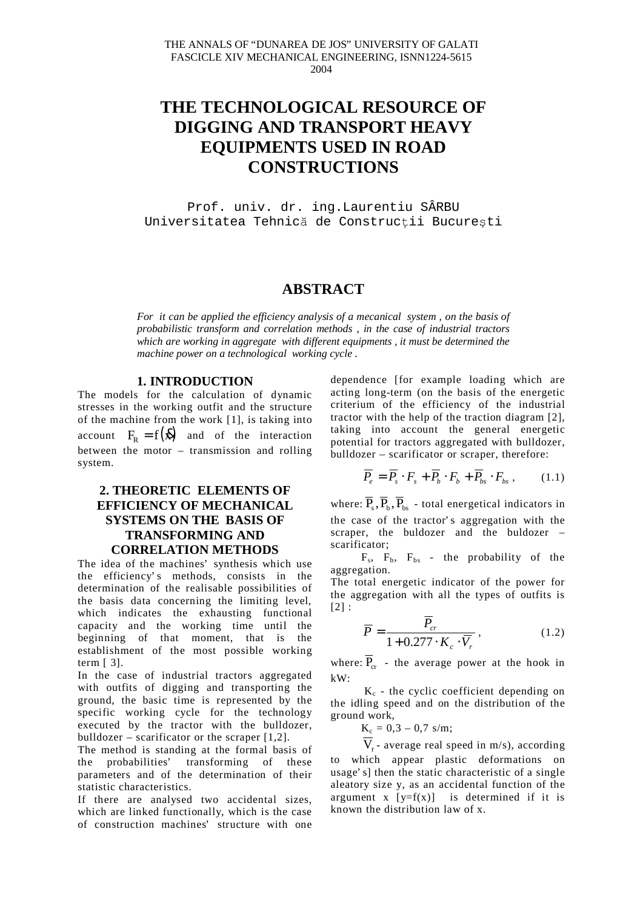# **THE TECHNOLOGICAL RESOURCE OF DIGGING AND TRANSPORT HEAVY EQUIPMENTS USED IN ROAD CONSTRUCTIONS**

Prof. univ. dr. ing.Laurentiu SÂRBU Universitatea Tehnică de Construcții București

## **ABSTRACT**

*For it can be applied the efficiency analysis of a mecanical system , on the basis of probabilistic transform and correlation methods , in the case of industrial tractors which are working in aggregate with different equipments , it must be determined the machine power on a technological working cycle* .

#### **1. INTRODUCTION**

The models for the calculation of dynamic stresses in the working outfit and the structure of the machine from the work [1], is taking into account  $F_R = f(\vec{x})$  and of the interaction between the motor – transmission and rolling system.

### **2. THEORETIC ELEMENTS OF EFFICIENCY OF MECHANICAL SYSTEMS ON THE BASIS OF TRANSFORMING AND CORRELATION METHODS**

The idea of the machines' synthesis which use the efficiency's methods, consists in the determination of the realisable possibilities of the basis data concerning the limiting level, which indicates the exhausting functional capacity and the working time until the beginning of that moment, that is the establishment of the most possible working term [ 3].

In the case of industrial tractors aggregated with outfits of digging and transporting the ground, the basic time is represented by the specific working cycle for the technology executed by the tractor with the bulldozer, bulldozer – scarificator or the scraper  $[1,2]$ .

The method is standing at the formal basis of the probabilities' transforming of these parameters and of the determination of their statistic characteristics.

If there are analysed two accidental sizes, which are linked functionally, which is the case of construction machines' structure with one

dependence [for example loading which are acting long-term (on the basis of the energetic criterium of the efficiency of the industrial tractor with the help of the traction diagram [2], taking into account the general energetic potential for tractors aggregated with bulldozer, bulldozer – scarificator or scraper, therefore:

$$
\overline{P}_e = \overline{P}_s \cdot F_s + \overline{P}_b \cdot F_b + \overline{P}_{bs} \cdot F_{bs} , \qquad (1.1)
$$

where:  $\overline{P}_s$ ,  $\overline{P}_b$ ,  $\overline{P}_{bc}$  - total energetical indicators in the case of the tractor' s aggregation with the scraper, the buldozer and the buldozer – scarificator;

 $F_s$ ,  $F_b$ ,  $F_{bs}$  - the probability of the aggregation.

The total energetic indicator of the power for the aggregation with all the types of outfits is  $[2]$ :

$$
\overline{P} = \frac{\overline{P}_{cr}}{1 + 0.277 \cdot K_c \cdot \overline{V}_r},\tag{1.2}
$$

where:  $\overline{P}_{cr}$  - the average power at the hook in kW:

 $K_c$  - the cyclic coefficient depending on the idling speed and on the distribution of the ground work,

$$
K_c=0,3-0,7\ {\rm s/m};
$$

 $V_r$ - average real speed in m/s), according to which appear plastic deformations on usage' s] then the static characteristic of a single aleatory size y, as an accidental function of the argument x  $[y=f(x)]$  is determined if it is known the distribution law of x.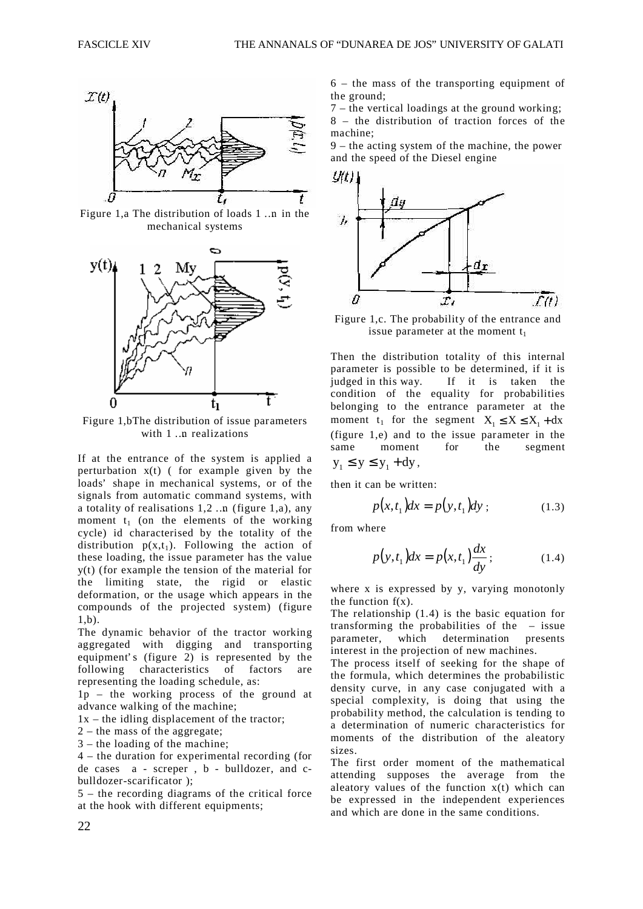

Figure 1,a The distribution of loads 1 …n in the mechanical systems



Figure 1,bThe distribution of issue parameters with 1 …n realizations

If at the entrance of the system is applied a perturbation  $x(t)$  (for example given by the loads' shape in mechanical systems, or of the signals from automatic command systems, with a totality of realisations 1,2 …n (figure 1,a), any moment  $t_1$  (on the elements of the working cycle) id characterised by the totality of the distribution  $p(x,t_1)$ . Following the action of these loading, the issue parameter has the value y(t) (for example the tension of the material for the limiting state, the rigid or elastic deformation, or the usage which appears in the compounds of the projected system) (figure 1,b).

The dynamic behavior of the tractor working aggregated with digging and transporting equipment's (figure 2) is represented by the following characteristics of factors are representing the loading schedule, as:

1p – the working process of the ground at advance walking of the machine;

 $1x$  – the idling displacement of the tractor;

2 – the mass of the aggregate;

3 – the loading of the machine;

4 – the duration for experimental recording (for de cases a - screper , b - bulldozer, and cbulldozer-scarificator );

5 – the recording diagrams of the critical force at the hook with different equipments;

6 – the mass of the transporting equipment of the ground;

7 – the vertical loadings at the ground working;

8 – the distribution of traction forces of the machine;

9 – the acting system of the machine, the power and the speed of the Diesel engine



Figure 1,c. The probability of the entrance and issue parameter at the moment  $t_1$ 

Then the distribution totality of this internal parameter is possible to be determined, if it is judged in this way. If it is taken the condition of the equality for probabilities belonging to the entrance parameter at the moment t<sub>1</sub> for the segment  $X_1 \le X \le X_1 + dx$ (figure 1,e) and to the issue parameter in the same moment for the segment  $y_1 \le y \le y_1 + dy$ ,

then it can be written:

$$
p(x,t1)dx = p(y,t1)dy ; \t(1.3)
$$

from where

$$
p(y, t1)dx = p(x, t1)\frac{dx}{dy};
$$
\n(1.4)

where x is expressed by y, varying monotonly the function  $f(x)$ .

The relationship (1.4) is the basic equation for transforming the probabilities of the – issue parameter, which determination presents interest in the projection of new machines.

The process itself of seeking for the shape of the formula, which determines the probabilistic density curve, in any case conjugated with a special complexity, is doing that using the probability method, the calculation is tending to a determination of numeric characteristics for moments of the distribution of the aleatory sizes.

The first order moment of the mathematical attending supposes the average from the aleatory values of the function  $x(t)$  which can be expressed in the independent experiences and which are done in the same conditions.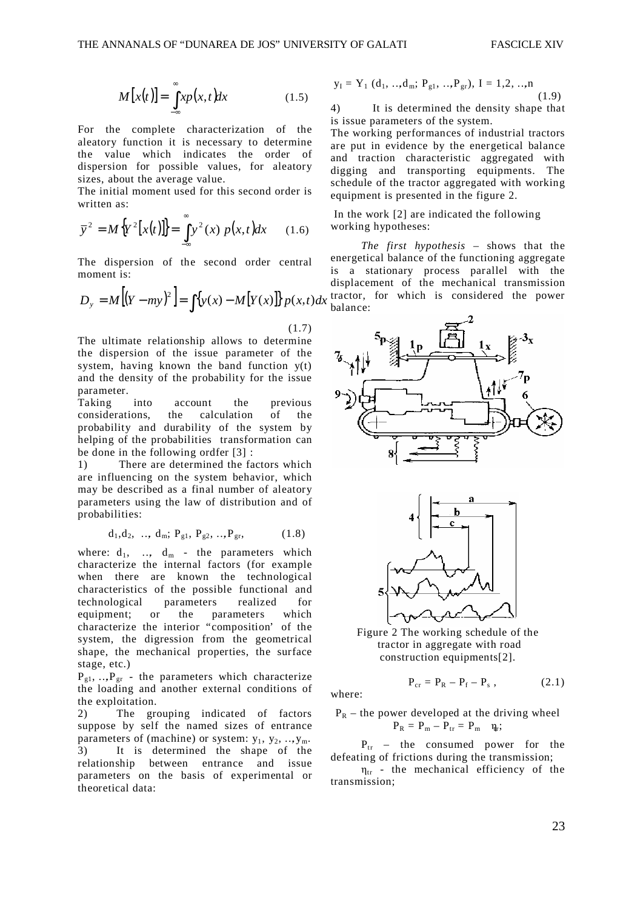$$
M[x(t)] = \int_{-\infty}^{\infty} x p(x, t) dx
$$
 (1.5)

For the complete characterization of the aleatory function it is necessary to determine the value which indicates the order of dispersion for possible values, for aleatory sizes, about the average value.

The initial moment used for this second order is written as:

$$
\overline{y}^{2} = M\{Y^{2}[x(t)]\} = \int_{-\infty}^{\infty} y^{2}(x) p(x,t)dx
$$
 (1.6)

The dispersion of the second order central moment is:

$$
D_y = M\left[\left(Y - my\right)^2\right] = \int \left\{y(x) - M\left[Y(x)\right]\right\} p(x, t) dx
$$

(1.7)

The ultimate relationship allows to determine the dispersion of the issue parameter of the system, having known the band function  $y(t)$ and the density of the probability for the issue parameter.

Taking into account the previous considerations, the calculation of the probability and durability of the system by helping of the probabilities transformation can be done in the following ordfer [3] :

1) There are determined the factors which are influencing on the system behavior, which may be described as a final number of aleatory parameters using the law of distribution and of probabilities:

$$
d_1, d_2, \ldots, d_m; P_{g1}, P_{g2}, \ldots, P_{gr},
$$
 (1.8)

where:  $d_1$ , ...,  $d_m$  - the parameters which characterize the internal factors (for example when there are known the technological characteristics of the possible functional and technological parameters realized for equipment; or the parameters which characterize the interior "composition' of the system, the digression from the geometrical shape, the mechanical properties, the surface stage, etc.)

 $P_{g1}, \ldots, P_{gr}$  - the parameters which characterize the loading and another external conditions of the exploitation.

2) The grouping indicated of factors suppose by self the named sizes of entrance parameters of (machine) or system:  $y_1, y_2, \ldots, y_m$ . 3) It is determined the shape of the relationship between entrance and issue parameters on the basis of experimental or theoretical data:

$$
y_{I} = Y_{1} (d_{1}, ... , d_{m}; P_{g1}, ... , P_{gr}), I = 1, 2, ... , n
$$
\n(1.9)

4) It is determined the density shape that is issue parameters of the system.

The working performances of industrial tractors are put in evidence by the energetical balance and traction characteristic aggregated with digging and transporting equipments. The schedule of the tractor aggregated with working equipment is presented in the figure 2.

 In the work [2] are indicated the following working hypotheses:

*The first hypothesis* – shows that the energetical balance of the functioning aggregate is a stationary process parallel with the displacement of the mechanical transmission tractor, for which is considered the power balance:





Figure 2 The working schedule of the tractor in aggregate with road construction equipments[2].

where:

$$
P_R
$$
 – the power developed at the driving wheel  
 $P_R = P_m - P_{tr} = P_m$   $\eta_r$ ;

 $P_{cr} = P_R - P_f - P_s$ 

 $P_{tr}$  – the consumed power for the defeating of frictions during the transmission;

 $\eta_{tr}$  - the mechanical efficiency of the transmission;

 $(2.1)$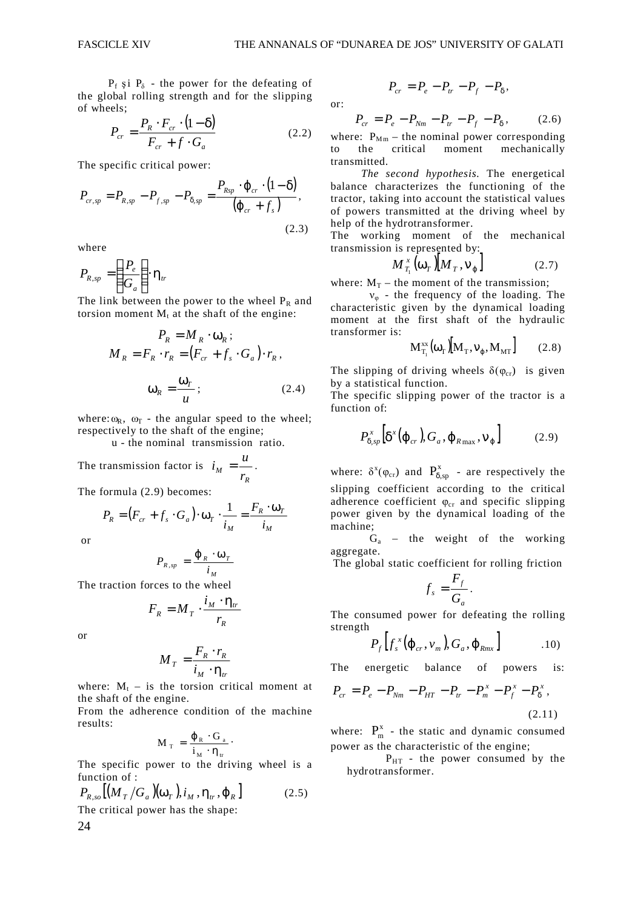or:

 $P_f$  și  $P_\delta$  - the power for the defeating of the global rolling strength and for the slipping of wheels;

$$
P_{cr} = \frac{P_R \cdot F_{cr} \cdot (1 - \delta)}{F_{cr} + f \cdot G_a}
$$
 (2.2)

The specific critical power:

$$
P_{cr,sp} = P_{R,sp} - P_{f,sp} - P_{\delta,sp} = \frac{P_{Rsp} \cdot \varphi_{cr} \cdot (1 - \delta)}{(\varphi_{cr} + f_s)},
$$
\n(2.3)

where

$$
P_{R,sp} = \left(\frac{P_e}{G_a}\right) \cdot \eta_{tr}
$$

The link between the power to the wheel  $P_R$  and torsion moment  $M_t$  at the shaft of the engine:

$$
P_R = M_R \cdot \omega_R ;
$$
  
\n
$$
M_R = F_R \cdot r_R = (F_{cr} + f_s \cdot G_a) \cdot r_R ,
$$
  
\n
$$
\omega_R = \frac{\omega_T}{u} ;
$$
\n(2.4)

where:  $\omega_R$ ,  $\omega_T$  - the angular speed to the wheel; respectively to the shaft of the engine;

u - the nominal transmission ratio.

The transmission factor is 
$$
i_M = \frac{u}{r_R}
$$
.

The formula (2.9) becomes:

$$
P_R = (F_{cr} + f_s \cdot G_a) \cdot \omega_T \cdot \frac{1}{i_M} = \frac{F_R \cdot \omega_T}{i_M}
$$

or

$$
P_{R,sp} = \frac{\varphi_R \cdot \omega_T}{i_M}
$$

The traction forces to the wheel

$$
F_R = M_T \cdot \frac{i_M \cdot \eta_{tr}}{r_R}
$$

or

24

$$
M_T = \frac{F_R \cdot r_R}{i_M \cdot \eta_r}
$$

where:  $M_t$  – is the torsion critical moment at the shaft of the engine.

From the adherence condition of the machine results:

$$
M_{_T}\,=\,\frac{\phi_{_R}\,\cdot\,G_{_a}}{i_{_M}\,\cdot\,\eta_{_tr}}\,\cdot
$$

The specific power to the driving wheel is a function of :

$$
P_{R,so}[(M_T/G_a)(\omega_T), i_M, \eta_{tr}, \varphi_R]
$$
 (2.5)  
The critical power has the shape:

$$
P_{cr}=P_e-P_{tr}-P_f-P_\delta,
$$

$$
P_{cr} = P_e - P_{Nm} - P_{tr} - P_f - P_\delta, \qquad (2.6)
$$

where:  $P_{Mm}$  – the nominal power corresponding to the critical moment mechanically transmitted.

*The second hypothesis.* The energetical balance characterizes the functioning of the tractor, taking into account the statistical values of powers transmitted at the driving wheel by help of the hydrotransformer.

The working moment of the mechanical transmission is represented by:

$$
M_{T_1}^x(\omega_T)[M_T, \mathbf{v}_{\varphi}] \tag{2.7}
$$

where:  $M_T$  – the moment of the transmission;

 $v_{\varphi}$  - the frequency of the loading. The characteristic given by the dynamical loading moment at the first shaft of the hydraulic transformer is:

$$
\mathbf{M}_{\mathrm{T}_1}^{\mathrm{xx}}(\omega_{\mathrm{T}})[\mathbf{M}_{\mathrm{T}},\mathbf{v}_{\varphi},\mathbf{M}_{\mathrm{MT}}]
$$
 (2.8)

The slipping of driving wheels  $\delta(\varphi_{cr})$  is given by a statistical function.

The specific slipping power of the tractor is a function of:

$$
P_{\delta,sp}^{x}\left[\delta^{x}(\varphi_{cr}),G_{a},\varphi_{R\max},\mathsf{V}_{\varphi}\right]
$$
 (2.9)

where:  $\delta^x(\varphi_{cr})$  and  $P_{\delta,sp}^x$  - are respectively the slipping coefficient according to the critical adherence coefficient  $\varphi_{cr}$  and specific slipping power given by the dynamical loading of the machine;

 $G_a$  – the weight of the working aggregate.

The global static coefficient for rolling friction

$$
f_s = \frac{F_f}{G_a}.
$$

The consumed power for defeating the rolling strength

$$
P_f\left[f_s^x(\varphi_{cr},\nu_m),G_a,\varphi_{Rmx}\right]
$$
 10)

The energetic balance of powers is:

$$
P_{cr} = P_e - P_{Nm} - P_{HT} - P_{tr} - P_m^x - P_f^x - P_\delta^x,
$$
\n(2.11)

where:  $P_m^x$  - the static and dynamic consumed power as the characteristic of the engine;

 $P_{HT}$  - the power consumed by the hydrotransformer.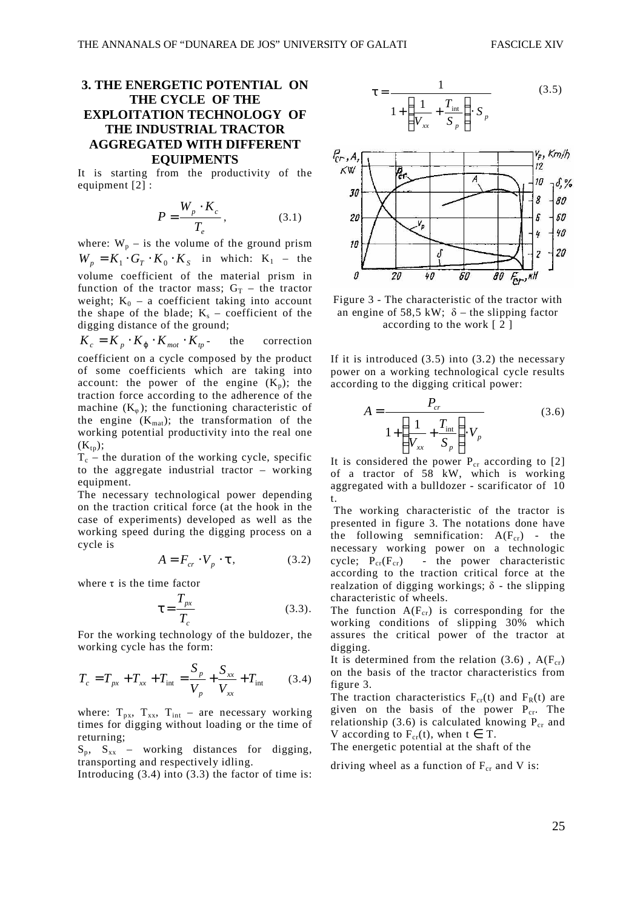### **3. THE ENERGETIC POTENTIAL ON THE CYCLE OF THE EXPLOITATION TECHNOLOGY OF THE INDUSTRIAL TRACTOR AGGREGATED WITH DIFFERENT EQUIPMENTS**

It is starting from the productivity of the equipment [2] :

$$
P = \frac{W_p \cdot K_c}{T_e},\tag{3.1}
$$

where:  $W_p$  – is the volume of the ground prism  $W_p = K_1 \cdot G_T \cdot K_0 \cdot K_S$  in which:  $K_1$  – the volume coefficient of the material prism in function of the tractor mass;  $G_T$  – the tractor weight;  $K_0$  – a coefficient taking into account the shape of the blade;  $K_s$  – coefficient of the digging distance of the ground;

 $K_c = K_p \cdot K_{\omega} \cdot K_{mot} \cdot K_{tp}$  the correction coefficient on a cycle composed by the product of some coefficients which are taking into account: the power of the engine  $(K_p)$ ; the traction force according to the adherence of the machine  $(K_{\omega})$ ; the functioning characteristic of the engine  $(K_{mat})$ ; the transformation of the working potential productivity into the real one  $(K_{tn});$ 

 $T_c$  – the duration of the working cycle, specific to the aggregate industrial tractor – working equipment.

The necessary technological power depending on the traction critical force (at the hook in the case of experiments) developed as well as the working speed during the digging process on a cycle is

$$
A = F_{cr} \cdot V_p \cdot \tau, \qquad (3.2)
$$

where  $\tau$  is the time factor

$$
\tau = \frac{T_{px}}{T_c} \tag{3.3}
$$

For the working technology of the buldozer, the working cycle has the form:

$$
T_c = T_{px} + T_{xx} + T_{int} = \frac{S_p}{V_p} + \frac{S_{xx}}{V_{xx}} + T_{int}
$$
 (3.4)

where:  $T_{px}$ ,  $T_{xx}$ ,  $T_{int}$  – are necessary working times for digging without loading or the time of returning;

 $S_p$ ,  $S_{xx}$  – working distances for digging, transporting and respectively idling.

Introducing (3.4) into (3.3) the factor of time is:





Figure 3 - The characteristic of the tractor with an engine of 58,5 kW;  $\delta$  – the slipping factor according to the work [ 2 ]

If it is introduced  $(3.5)$  into  $(3.2)$  the necessary power on a working technological cycle results according to the digging critical power:

$$
A = \frac{P_{cr}}{1 + \left(\frac{1}{V_{xx}} + \frac{T_{int}}{S_p}\right) \cdot V_p}
$$
 (3.6)

It is considered the power  $P_{cr}$  according to [2] of a tractor of 58 kW, which is working aggregated with a bulldozer - scarificator of 10 t.

 The working characteristic of the tractor is presented in figure 3. The notations done have the following semnification:  $A(F_{cr})$  - the necessary working power on a technologic cycle;  $P_{cr}(F_{cr})$  - the power characteristic according to the traction critical force at the realzation of digging workings;  $\delta$  - the slipping characteristic of wheels.

The function  $A(F_{cr})$  is corresponding for the working conditions of slipping 30% which assures the critical power of the tractor at digging.

It is determined from the relation  $(3.6)$ , A(F<sub>cr</sub>) on the basis of the tractor characteristics from figure 3.

The traction characteristics  $F_{cr}(t)$  and  $F_R(t)$  are given on the basis of the power  $P_{cr}$ . The relationship (3.6) is calculated knowing  $P_{cr}$  and V according to  $F_{cr}(t)$ , when  $t \in T$ .

The energetic potential at the shaft of the

driving wheel as a function of  $F_{cr}$  and V is: